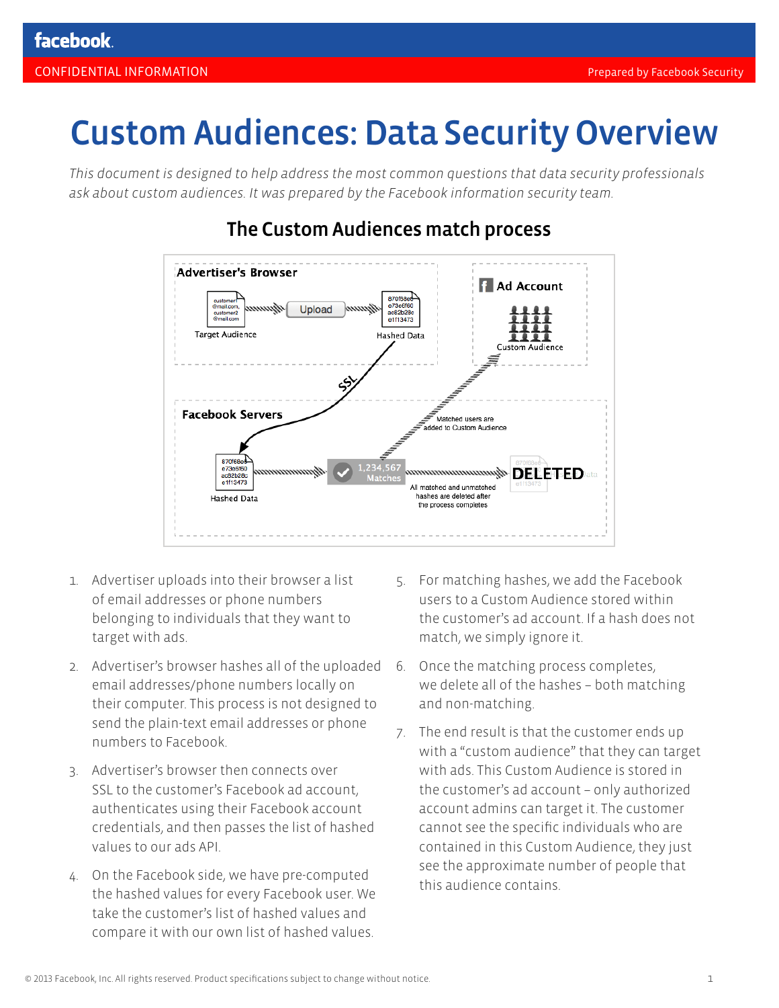# Custom Audiences: Data Security Overview

*This document is designed to help address the most common questions that data security professionals ask about custom audiences. It was prepared by the Facebook information security team.*



# The Custom Audiences match process

- 1. Advertiser uploads into their browser a list of email addresses or phone numbers belonging to individuals that they want to target with ads.
- 2. Advertiser's browser hashes all of the uploaded 6. Once the matching process completes, email addresses/phone numbers locally on their computer. This process is not designed to send the plain-text email addresses or phone numbers to Facebook.
- 3. Advertiser's browser then connects over SSL to the customer's Facebook ad account, authenticates using their Facebook account credentials, and then passes the list of hashed values to our ads API.
- 4. On the Facebook side, we have pre-computed the hashed values for every Facebook user. We take the customer's list of hashed values and compare it with our own list of hashed values.
- 5. For matching hashes, we add the Facebook users to a Custom Audience stored within the customer's ad account. If a hash does not match, we simply ignore it.
- we delete all of the hashes both matching and non-matching.
- 7. The end result is that the customer ends up with a "custom audience" that they can target with ads. This Custom Audience is stored in the customer's ad account – only authorized account admins can target it. The customer cannot see the specific individuals who are contained in this Custom Audience, they just see the approximate number of people that this audience contains.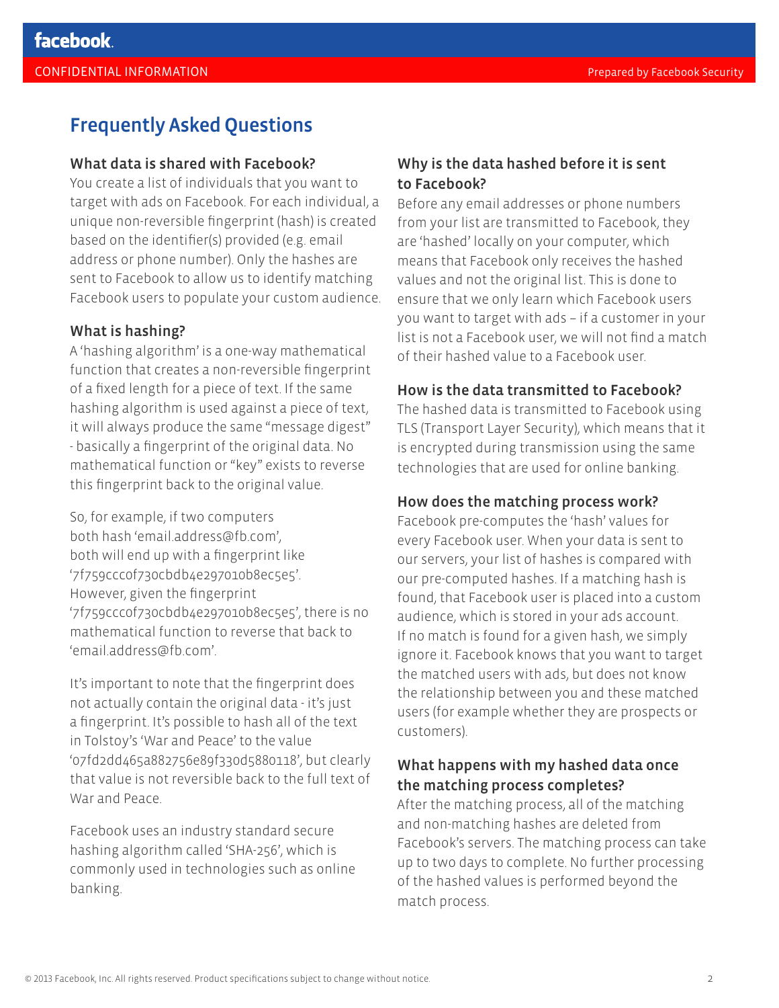# Frequently Asked Questions

#### What data is shared with Facebook?

You create a list of individuals that you want to target with ads on Facebook. For each individual, a unique non-reversible fingerprint (hash) is created based on the identifier(s) provided (e.g. email address or phone number). Only the hashes are sent to Facebook to allow us to identify matching Facebook users to populate your custom audience.

#### What is hashing?

A 'hashing algorithm' is a one-way mathematical function that creates a non-reversible fingerprint of a fixed length for a piece of text. If the same hashing algorithm is used against a piece of text, it will always produce the same "message digest" - basically a fingerprint of the original data. No mathematical function or "key" exists to reverse this fingerprint back to the original value.

So, for example, if two computers both hash 'email.address@fb.com', both will end up with a fingerprint like '7f759ccc0f730cbdb4e297010b8ec5e5'. However, given the fingerprint '7f759ccc0f730cbdb4e297010b8ec5e5', there is no mathematical function to reverse that back to 'email.address@fb.com'.

It's important to note that the fingerprint does not actually contain the original data - it's just a fingerprint. It's possible to hash all of the text in Tolstoy's 'War and Peace' to the value '07fd2dd465a882756e89f330d5880118', but clearly that value is not reversible back to the full text of War and Peace.

Facebook uses an industry standard secure hashing algorithm called 'SHA-256', which is commonly used in technologies such as online banking.

#### Why is the data hashed before it is sent to Facebook?

Before any email addresses or phone numbers from your list are transmitted to Facebook, they are 'hashed' locally on your computer, which means that Facebook only receives the hashed values and not the original list. This is done to ensure that we only learn which Facebook users you want to target with ads – if a customer in your list is not a Facebook user, we will not find a match of their hashed value to a Facebook user.

#### How is the data transmitted to Facebook?

The hashed data is transmitted to Facebook using TLS (Transport Layer Security), which means that it is encrypted during transmission using the same technologies that are used for online banking.

#### How does the matching process work?

Facebook pre-computes the 'hash' values for every Facebook user. When your data is sent to our servers, your list of hashes is compared with our pre-computed hashes. If a matching hash is found, that Facebook user is placed into a custom audience, which is stored in your ads account. If no match is found for a given hash, we simply ignore it. Facebook knows that you want to target the matched users with ads, but does not know the relationship between you and these matched users (for example whether they are prospects or customers).

## What happens with my hashed data once the matching process completes?

After the matching process, all of the matching and non-matching hashes are deleted from Facebook's servers. The matching process can take up to two days to complete. No further processing of the hashed values is performed beyond the match process.